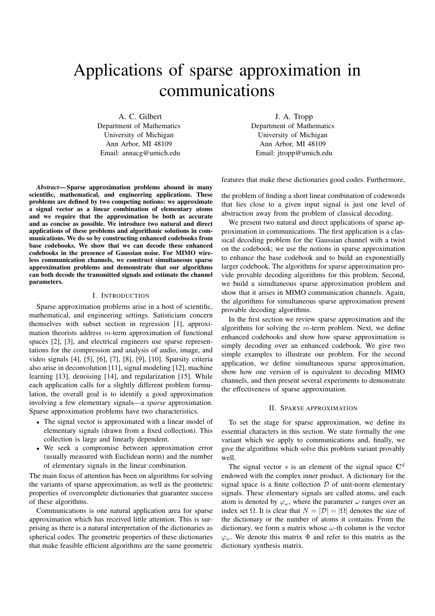# Applications of sparse approximation in communications

A. C. Gilbert Department of Mathematics University of Michigan Ann Arbor, MI 48109 Email: annacg@umich.edu

J. A. Tropp Department of Mathematics University of Michigan Ann Arbor, MI 48109 Email: jtropp@umich.edu

features that make these dictionaries good codes. Furthermore,

*Abstract***— Sparse approximation problems abound in many scientific, mathematical, and engineering applications. These problems are defined by two competing notions: we approximate a signal vector as a linear combination of elementary atoms and we require that the approximation be both as accurate and as concise as possible. We introduce two natural and direct applications of these problems and algorithmic solutions in communications. We do so by constructing enhanced codebooks from base codebooks. We show that we can decode these enhanced codebooks in the presence of Gaussian noise. For MIMO wireless communication channels, we construct simultaneous sparse approximation problems and demonstrate that our algorithms can both decode the transmitted signals and estimate the channel parameters.**

### I. INTRODUCTION

Sparse approximation problems arise in a host of scientific, mathematical, and engineering settings. Satisticians concern themselves with subset section in regression [1], approximation theorists address  $m$ -term approximation of functional spaces [2], [3], and electrical engineers use sparse representations for the compression and analysis of audio, image, and video signals [4], [5], [6], [7], [8], [9], [10]. Sparsity criteria also arise in deconvolution [11], signal modeling [12], machine learning [13], denoising [14], and regularization [15]. While each application calls for a slightly different problem formulation, the overall goal is to identify a good approximation involving a few elementary signals—a *sparse* approximation. Sparse approximation problems have two characteristics.

- The signal vector is approximated with a linear model of elementary signals (drawn from a fixed collection). This collection is large and linearly dependent.
- We seek a compromise between approximation error (usually measured with Euclidean norm) and the number of elementary signals in the linear combination.

The main focus of attention has been on algorithms for solving the variants of sparse approximation, as well as the geometric properties of overcomplete dictionaries that guarantee success of these algorithms.

Communications is one natural application area for sparse approximation which has received little attention. This is surprising as there is a natural interpretation of the dictionaries as spherical codes. The geometric properties of these dictionaries that make feasible efficient algorithms are the same geometric the problem of finding a short linear combination of codewords that lies close to a given input signal is just one level of abstraction away from the problem of classical decoding.

We present two natural and direct applications of sparse approximation in communications. The first application is a classical decoding problem for the Gaussian channel with a twist on the codebook; we use the notions in sparse approximation to enhance the base codebook and to build an exponentially larger codebook. The algorithms for sparse approximation provide provable decoding algorithms for this problem. Second, we build a simultaneous sparse approximation problem and show that it arises in MIMO communication channels. Again, the algorithms for simultaneous sparse approximation present provable decoding algorithms.

In the first section we review sparse approximation and the algorithms for solving the  $m$ -term problem. Next, we define enhanced codebooks and show how sparse approximation is simply decoding over an enhanced codebook. We give two simple examples to illustrate our problem. For the second application, we define simultaneous sparse approximation, show how one version of is equivalent to decoding MIMO channels, and then present several experiments to demonstrate the effectiveness of sparse approximation.

#### II. SPARSE APPROXIMATION

To set the stage for sparse approximation, we define its essential characters in this section. We state formally the one variant which we apply to communications and, finally, we give the algorithms which solve this problem variant provably well.

The signal vector  $s$  is an element of the signal space  $C<sup>d</sup>$ endowed with the complex inner product. A dictionary for the signal space is a finite collection  $D$  of unit-norm elementary signals. These elementary signals are called atoms, and each atom is denoted by  $\varphi_{\omega}$ , where the parameter  $\omega$  ranges over an index set  $\Omega$ . It is clear that  $N = |\mathcal{D}| = |\Omega|$  denotes the size of the dictionary or the number of atoms it contains. From the dictionary, we form a matrix whose  $\omega$ -th column is the vector  $\varphi_{\omega}$ . We denote this matrix  $\Phi$  and refer to this matrix as the dictionary synthesis matrix.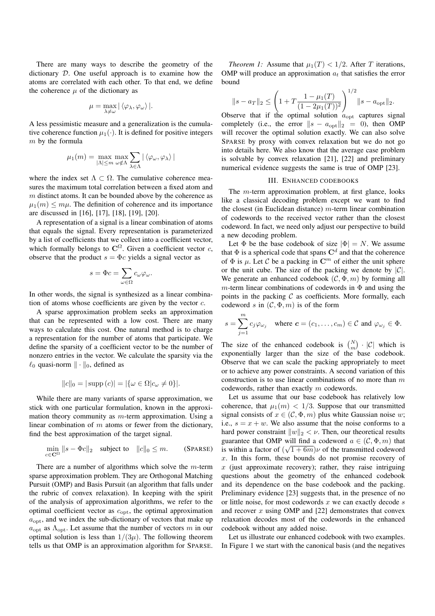There are many ways to describe the geometry of the dictionary D. One useful approach is to examine how the atoms are correlated with each other. To that end, we define the coherence  $\mu$  of the dictionary as

$$
\mu = \max_{\lambda \neq \omega} |\left<\varphi_\lambda, \varphi_\omega\right>|.
$$

A less pessimistic measure and a generalization is the cumulative coherence function  $\mu_1(\cdot)$ . It is defined for positive integers  $m$  by the formula

$$
\mu_1(m) = \max_{|\Lambda| \le m} \max_{\omega \notin \Lambda} \sum_{\lambda \in \Lambda} |\langle \varphi_\omega, \varphi_\lambda \rangle|
$$

where the index set  $\Lambda \subset \Omega$ . The cumulative coherence measures the maximum total correlation between a fixed atom and  $m$  distinct atoms. It can be bounded above by the coherence as  $\mu_1(m) \leq m\mu$ . The definition of coherence and its importance are discussed in [16], [17], [18], [19], [20].

A representation of a signal is a linear combination of atoms that equals the signal. Every representation is parameterized by a list of coefficients that we collect into a coefficient vector, which formally belongs to  $\mathbb{C}^{\Omega}$ . Given a coefficient vector c, observe that the product  $s = \Phi c$  yields a signal vector as

$$
s = \Phi c = \sum_{\omega \in \Omega} c_{\omega} \varphi_{\omega}.
$$

In other words, the signal is synthesized as a linear combination of atoms whose coefficients are given by the vector  $c$ .

A sparse approximation problem seeks an approximation that can be represented with a low cost. There are many ways to calculate this cost. One natural method is to charge a representation for the number of atoms that participate. We define the sparsity of a coefficient vector to be the number of nonzero entries in the vector. We calculate the sparsity via the  $\ell_0$  quasi-norm  $\|\cdot\|_0$ , defined as

$$
||c||_0 = |\text{supp}(c)| = |\{\omega \in \Omega | c_{\omega} \neq 0\}|.
$$

While there are many variants of sparse approximation, we stick with one particular formulation, known in the approximation theory community as  $m$ -term approximation. Using a linear combination of  $m$  atoms or fewer from the dictionary, find the best approximation of the target signal.

$$
\min_{c \in \mathbf{C}^{\Omega}} \|s - \Phi c\|_2 \quad \text{subject to} \quad \|c\|_0 \leq m. \tag{SPARSE}
$$

There are a number of algorithms which solve the  $m$ -term sparse approximation problem. They are Orthogonal Matching Pursuit (OMP) and Basis Pursuit (an algorithm that falls under the rubric of convex relaxation). In keeping with the spirit of the analysis of approximation algorithms, we refer to the optimal coefficient vector as  $c_{\text{opt}}$ , the optimal approximation  $a_{\text{opt}}$ , and we index the sub-dictionary of vectors that make up  $a_{\text{opt}}$  as  $\Lambda_{\text{opt}}$ . Let assume that the number of vectors m in our optimal solution is less than  $1/(3\mu)$ . The following theorem tells us that OMP is an approximation algorithm for SPARSE.

*Theorem 1:* Assume that  $\mu_1(T) < 1/2$ . After T iterations, OMP will produce an approximation  $a_t$  that satisfies the error bound

$$
||s - a_T||_2 \le \left(1 + T \frac{1 - \mu_1(T)}{(1 - 2\mu_1(T))^2}\right)^{1/2} ||s - a_{\text{opt}}||_2.
$$
  
Observe that if the optimal solution  $a_{\text{opt}}$  captures signal

completely (i.e., the error  $||s - a_{\text{opt}}||_2 = 0$ ), then OMP will recover the optimal solution exactly. We can also solve SPARSE by proxy with convex relaxation but we do not go into details here. We also know that the average case problem is solvable by convex relaxation [21], [22] and preliminary numerical evidence suggests the same is true of OMP [23].

# III. ENHANCED CODEBOOKS

The m-term approximation problem, at first glance, looks like a classical decoding problem except we want to find the closest (in Euclidean distance)  $m$ -term linear combination of codewords to the received vector rather than the closest codeword. In fact, we need only adjust our perspective to build a new decoding problem.

Let  $\Phi$  be the base codebook of size  $|\Phi| = N$ . We assume that  $\Phi$  is a spherical code that spans  $\mathbb{C}^d$  and that the coherence of  $\Phi$  is  $\mu$ . Let  $\mathcal C$  be a packing in  $\mathbb C^m$  of either the unit sphere or the unit cube. The size of the packing we denote by  $|\mathcal{C}|$ . We generate an enhanced codebook  $(C, \Phi, m)$  by forming all m-term linear combinations of codewords in  $\Phi$  and using the points in the packing  $C$  as coefficients. More formally, each codeword s in  $(C, \Phi, m)$  is of the form

$$
s = \sum_{j=1}^{m} c_j \varphi_{\omega_j} \quad \text{where } \mathbf{c} = (c_1, \dots, c_m) \in \mathcal{C} \text{ and } \varphi_{\omega_j} \in \Phi.
$$

The size of the enhanced codebook is  $\binom{N}{m}$  |C| which is exponentially larger than the size of the base codebook. Observe that we can scale the packing appropriately to meet or to achieve any power constraints. A second variation of this construction is to use linear combinations of no more than  $m$ codewords, rather than exactly m codewords.

Let us assume that our base codebook has relatively low coherence, that  $\mu_1(m) < 1/3$ . Suppose that our transmitted signal consists of  $x \in (C, \Phi, m)$  plus white Gaussian noise w; i.e.,  $s = x + w$ . We also assume that the noise conforms to a hard power constraint  $||w||_2 < v$ . Then, our theoretical results guarantee that OMP will find a codeword  $a \in (\mathcal{C}, \Phi, m)$  that is within a factor of  $(\sqrt{1+6m})\nu$  of the transmitted codeword<br>x. In this form, these bounds do not promise recovery of x. In this form, these bounds do not promise recovery of  $x$  (just approximate recovery); rather, they raise intriguing questions about the geometry of the enhanced codebook and its dependence on the base codebook and the packing. Preliminary evidence [23] suggests that, in the presence of no or little noise, for most codewords  $x$  we can exactly decode  $s$ and recover  $x$  using OMP and  $[22]$  demonstrates that convex relaxation decodes most of the codewords in the enhanced codebook without any added noise.

Let us illustrate our enhanced codebook with two examples. In Figure 1 we start with the canonical basis (and the negatives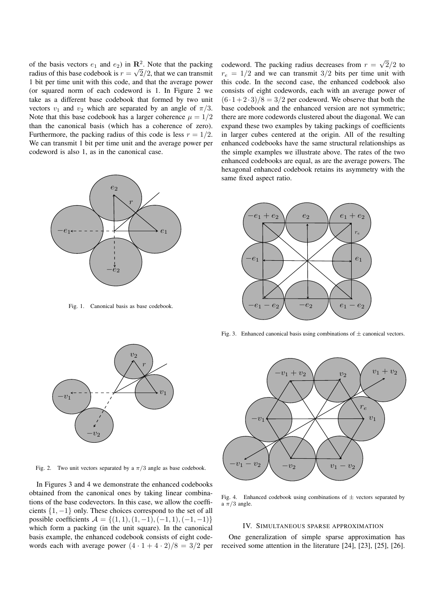of the basis vectors  $e_1$  and  $e_2$ ) in  $\mathbb{R}^2$ . Note that the packing radius of this base codebook is  $r = \sqrt{2}/2$ , that we can transmit 1 bit per time unit with this code, and that the average power (or squared norm of each codeword is 1. In Figure 2 we take as a different base codebook that formed by two unit vectors  $v_1$  and  $v_2$  which are separated by an angle of  $\pi/3$ . Note that this base codebook has a larger coherence  $\mu = 1/2$ than the canonical basis (which has a coherence of zero). Furthermore, the packing radius of this code is less  $r = 1/2$ . We can transmit 1 bit per time unit and the average power per codeword is also 1, as in the canonical case.



Fig. 1. Canonical basis as base codebook.

codeword. The packing radius decreases from  $r = \sqrt{2}/2$  to  $r_e = 1/2$  and we can transmit 3/2 bits per time unit with this code. In the second case, the enhanced codebook also consists of eight codewords, each with an average power of  $(6 \cdot 1 + 2 \cdot 3)/8 = 3/2$  per codeword. We observe that both the base codebook and the enhanced version are not symmetric; there are more codewords clustered about the diagonal. We can expand these two examples by taking packings of coefficients in larger cubes centered at the origin. All of the resulting enhanced codebooks have the same structural relationships as the simple examples we illustrate above. The rates of the two enhanced codebooks are equal, as are the average powers. The hexagonal enhanced codebook retains its asymmetry with the same fixed aspect ratio.



Fig. 3. Enhanced canonical basis using combinations of  $\pm$  canonical vectors.



Fig. 2. Two unit vectors separated by a  $\pi/3$  angle as base codebook.

In Figures 3 and 4 we demonstrate the enhanced codebooks obtained from the canonical ones by taking linear combinations of the base codevectors. In this case, we allow the coefficients {1, <sup>−</sup>1} only. These choices correspond to the set of all possible coefficients  $A = \{(1, 1), (1, -1), (-1, 1), (-1, -1)\}$ which form a packing (in the unit square). In the canonical basis example, the enhanced codebook consists of eight codewords each with average power  $(4 \cdot 1+4 \cdot 2)/8=3/2$  per



Fig. 4. Enhanced codebook using combinations of  $\pm$  vectors separated by a  $\pi/3$  angle.

# IV. SIMULTANEOUS SPARSE APPROXIMATION

One generalization of simple sparse approximation has received some attention in the literature [24], [23], [25], [26].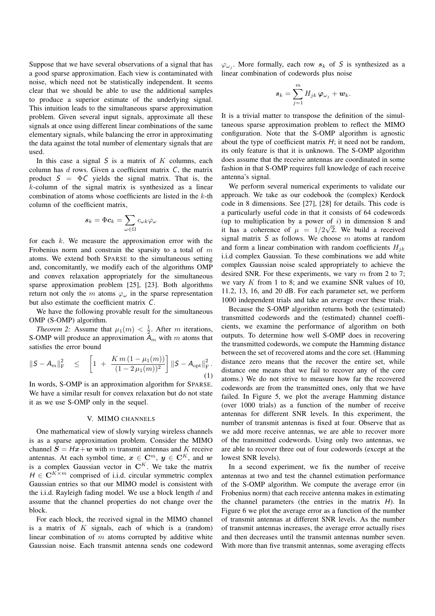Suppose that we have several observations of a signal that has a good sparse approximation. Each view is contaminated with noise, which need not be statistically independent. It seems clear that we should be able to use the additional samples to produce a superior estimate of the underlying signal. This intuition leads to the simultaneous sparse approximation problem. Given several input signals, approximate all these signals at once using different linear combinations of the same elementary signals, while balancing the error in approximating the data against the total number of elementary signals that are used.

In this case a signal  $S$  is a matrix of  $K$  columns, each column has  $d$  rows. Given a coefficient matrix  $C$ , the matrix product  $S = \Phi C$  yields the signal matrix. That is, the k-column of the signal matrix is synthesized as a linear combination of atoms whose coefficients are listed in the k-th column of the coefficient matrix,

$$
\bm{s}_k = \Phi \bm{c}_k = \sum_{\omega \in \Omega} c_{\omega k} \varphi_\omega
$$

for each  $k$ . We measure the approximation error with the Frobenius norm and constrain the sparsity to a total of  $m$ atoms. We extend both SPARSE to the simultaneous setting and, concomitantly, we modify each of the algorithms OMP and convex relaxation appropriately for the simultaneous sparse approximation problem [25], [23]. Both algorithms return not only the m atoms  $\varphi_{\omega}$  in the sparse representation but also estimate the coefficient matrix C.

We have the following provable result for the simultaneous OMP (S-OMP) algorithm.

*Theorem 2:* Assume that  $\mu_1(m) < \frac{1}{2}$ . After m iterations, OMP will produce an approximation A with m atoms that S-OMP will produce an approximation  $A_m$  with m atoms that satisfies the error bound

$$
\|S - A_m\|_{\mathrm{F}}^2 \leq \left[1 + \frac{Km(1 - \mu_1(m))}{(1 - 2\mu_1(m))^2}\right] \|S - A_{\mathrm{opt}}\|_{\mathrm{F}}^2.
$$
\n(1)

In words, S-OMP is an approximation algorithm for SPARSE. We have a similar result for convex relaxation but do not state it as we use S-OMP only in the sequel.

#### V. MIMO CHANNELS

One mathematical view of slowly varying wireless channels is as a sparse approximation problem. Consider the MIMO channel  $S = Hx + w$  with m transmit antennas and K receive antennas. At each symbol time,  $x \in \mathbb{C}^m$ ,  $y \in \mathbb{C}^K$ , and w is a complex Gaussian vector in  $\mathbb{C}^K$ . We take the matrix  $H \in \mathbb{C}^{K \times m}$  comprised of i.i.d. circular symmetric complex Gaussian entries so that our MIMO model is consistent with the i.i.d. Rayleigh fading model. We use a block length  $d$  and assume that the channel properties do not change over the block.

For each block, the received signal in the MIMO channel is a matrix of  $K$  signals, each of which is a (random) linear combination of  $m$  atoms corrupted by additive white Gaussian noise. Each transmit antenna sends one codeword  $\varphi_{\omega_i}$ . More formally, each row  $s_k$  of S is synthesized as a linear combination of codewords plus noise

$$
\bm{s}_k = \sum_{j=1}^m H_{jk}\, \bm{\varphi}_{\omega_j} + \bm{w}_k.
$$

It is a trivial matter to transpose the definition of the simultaneous sparse approximation problem to reflect the MIMO configuration. Note that the S-OMP algorithm is agnostic about the type of coefficient matrix  $H$ ; it need not be random, its only feature is that it is unknown. The S-OMP algorithm does assume that the receive antennas are coordinated in some fashion in that S-OMP requires full knowledge of each receive antenna's signal.

We perform several numerical experiments to validate our approach. We take as our codebook the (complex) Kerdock code in 8 dimensions. See [27], [28] for details. This code is a particularly useful code in that it consists of 64 codewords (up to multiplication by a power of  $i$ ) in dimension 8 and it has a coherence of  $\mu = 1/2\sqrt{2}$ . We build a received<br>signal matrix S as follows. We choose m atoms at random signal matrix  $S$  as follows. We choose  $m$  atoms at random and form a linear combination with random coefficients  $H_{ik}$ i.i.d complex Gaussian. To these combinations we add white complex Gaussian noise scaled appropriately to achieve the desired SNR. For these experiments, we vary  $m$  from 2 to 7; we vary  $K$  from 1 to 8; and we examine SNR values of 10, 11.2, 13, 16, and 20 dB. For each parameter set, we perform 1000 independent trials and take an average over these trials.

Because the S-OMP algorithm returns both the (estimated) transmitted codewords and the (estimated) channel coefficients, we examine the performance of algorithm on both outputs. To determine how well S-OMP does in recovering the transmitted codewords, we compute the Hamming distance between the set of recovered atoms and the core set. (Hamming distance zero means that the recover the entire set, while distance one means that we fail to recover any of the core atoms.) We do not strive to measure how far the recovered codewords are from the transmitted ones, only that we have failed. In Figure 5, we plot the average Hamming distance (over 1000 trials) as a function of the number of receive antennas for different SNR levels. In this experiment, the number of transmit antennas is fixed at four. Observe that as we add more receive antennas, we are able to recover more of the transmitted codewords. Using only two antennas, we are able to recover three out of four codewords (except at the lowest SNR levels).

In a second experiment, we fix the number of receive antennas at two and test the channel estimation performance of the S-OMP algorithm. We compute the average error (in Frobenius norm) that each receive antenna makes in estimating the channel parameters (the entries in the matrix  $H$ ). In Figure 6 we plot the average error as a function of the number of transmit antennas at different SNR levels. As the number of transmit antennas increases, the average error actually rises and then decreases until the transmit antennas number seven. With more than five transmit antennas, some averaging effects